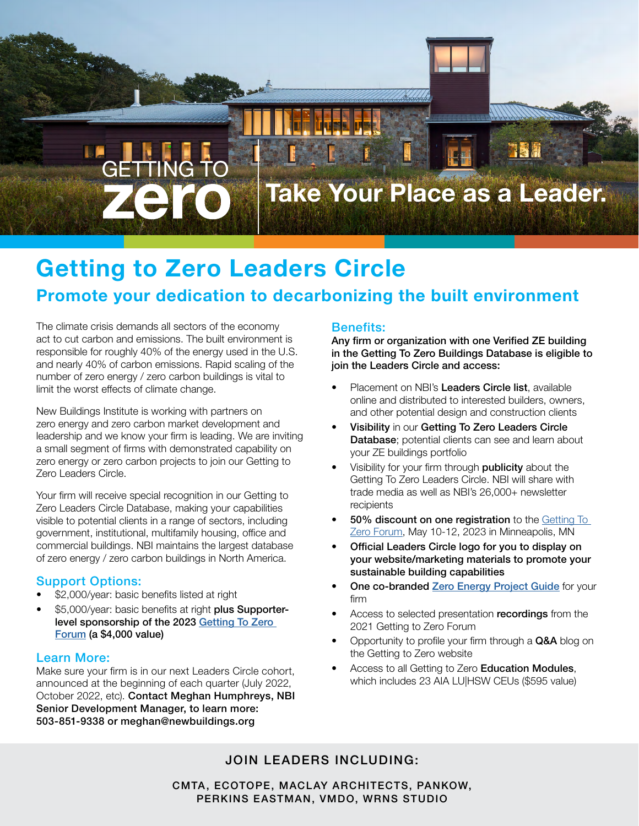

# Getting to Zero Leaders Circle

# Promote your dedication to decarbonizing the built environment

The climate crisis demands all sectors of the economy act to cut carbon and emissions. The built environment is responsible for roughly 40% of the energy used in the U.S. and nearly 40% of carbon emissions. Rapid scaling of the number of zero energy / zero carbon buildings is vital to limit the worst effects of climate change.

New Buildings Institute is working with partners on zero energy and zero carbon market development and leadership and we know your firm is leading. We are inviting a small segment of firms with demonstrated capability on zero energy or zero carbon projects to join our Getting to Zero Leaders Circle.

Your firm will receive special recognition in our Getting to Zero Leaders Circle Database, making your capabilities visible to potential clients in a range of sectors, including government, institutional, multifamily housing, office and commercial buildings. NBI maintains the largest database of zero energy / zero carbon buildings in North America.

### Support Options:

- \$2,000/year: basic benefits listed at right
- \$5,000/year: basic benefits at right plus Supporterlevel sponsorship of the 2023 [Getting To Zero](https://gettingtozeroforum.org/sponsorship/)  [Forum](https://gettingtozeroforum.org/sponsorship/) (a \$4,000 value)

#### Learn More:

Make sure your firm is in our next Leaders Circle cohort, announced at the beginning of each quarter (July 2022, October 2022, etc). Contact Meghan Humphreys, NBI Senior Development Manager, to learn more: 503-851-9338 or meghan@newbuildings.org

#### Benefits:

Any firm or organization with one Verified ZE building in the Getting To Zero Buildings Database is eligible to join the Leaders Circle and access:

- Placement on NBI's Leaders Circle list, available online and distributed to interested builders, owners, and other potential design and construction clients
- Visibility in our Getting To Zero Leaders Circle Database; potential clients can see and learn about your ZE buildings portfolio
- Visibility for your firm through **publicity** about the Getting To Zero Leaders Circle. NBI will share with trade media as well as NBI's 26,000+ newsletter recipients
- 50% discount on one registration to the Getting To [Zero Forum,](http://gettingtozeroforum.org) May 10-12, 2023 in Minneapolis, MN
- Official Leaders Circle logo for you to display on your website/marketing materials to promote your sustainable building capabilities
- One co-branded [Zero Energy Project Guide](https://newbuildings.org/wp-content/uploads/2017/10/GtZ_ZEProjectGuide_NBI.pdf) for your firm
- Access to selected presentation recordings from the 2021 Getting to Zero Forum
- Opportunity to profile your firm through a Q&A blog on the Getting to Zero website
- Access to all Getting to Zero Education Modules, which includes 23 AIA LU|HSW CEUs (\$595 value)

## JOIN LEADERS INCLUDING:

CMTA, ECOTOPE, MACLAY ARCHITECTS, PANKOW, PERKINS EASTMAN, VMDO, WRNS STUDIO